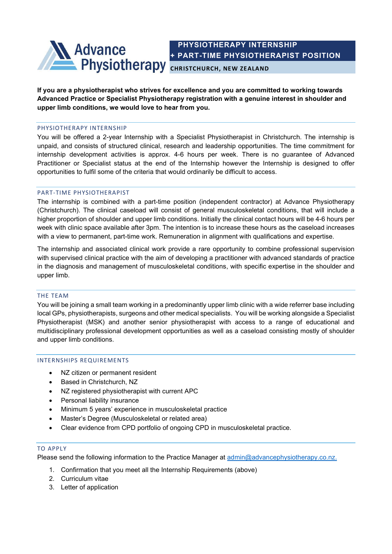

 PHYSIOTHERAPY INTERNSHIP + PART-TIME PHYSIOTHERAPIST POSITION

If you are a physiotherapist who strives for excellence and you are committed to working towards Advanced Practice or Specialist Physiotherapy registration with a genuine interest in shoulder and upper limb conditions, we would love to hear from you.

### PHYSIOTHERAPY INTERNSHIP

You will be offered a 2-year Internship with a Specialist Physiotherapist in Christchurch. The internship is unpaid, and consists of structured clinical, research and leadership opportunities. The time commitment for internship development activities is approx. 4-6 hours per week. There is no guarantee of Advanced Practitioner or Specialist status at the end of the Internship however the Internship is designed to offer opportunities to fulfil some of the criteria that would ordinarily be difficult to access.

## PART-TIME PHYSIOTHERAPIST

The internship is combined with a part-time position (independent contractor) at Advance Physiotherapy (Christchurch). The clinical caseload will consist of general musculoskeletal conditions, that will include a higher proportion of shoulder and upper limb conditions. Initially the clinical contact hours will be 4-6 hours per week with clinic space available after 3pm. The intention is to increase these hours as the caseload increases with a view to permanent, part-time work. Remuneration in alignment with qualifications and expertise.

The internship and associated clinical work provide a rare opportunity to combine professional supervision with supervised clinical practice with the aim of developing a practitioner with advanced standards of practice in the diagnosis and management of musculoskeletal conditions, with specific expertise in the shoulder and upper limb.

#### THE TEAM

You will be joining a small team working in a predominantly upper limb clinic with a wide referrer base including local GPs, physiotherapists, surgeons and other medical specialists. You will be working alongside a Specialist Physiotherapist (MSK) and another senior physiotherapist with access to a range of educational and multidisciplinary professional development opportunities as well as a caseload consisting mostly of shoulder and upper limb conditions.

#### INTERNSHIPS REQUIREMENTS

- NZ citizen or permanent resident
- Based in Christchurch, NZ
- NZ registered physiotherapist with current APC
- Personal liability insurance
- Minimum 5 years' experience in musculoskeletal practice
- Master's Degree (Musculoskeletal or related area)
- Clear evidence from CPD portfolio of ongoing CPD in musculoskeletal practice.

#### TO APPLY

Please send the following information to the Practice Manager at admin@advancephysiotherapy.co.nz.

- 1. Confirmation that you meet all the Internship Requirements (above)
- 2. Curriculum vitae
- 3. Letter of application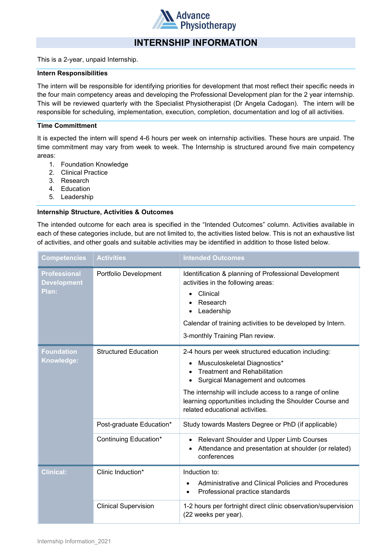

# INTERNSHIP INFORMATION

This is a 2-year, unpaid Internship.

## Intern Responsibilities

The intern will be responsible for identifying priorities for development that most reflect their specific needs in the four main competency areas and developing the Professional Development plan for the 2 year internship. This will be reviewed quarterly with the Specialist Physiotherapist (Dr Angela Cadogan). The intern will be responsible for scheduling, implementation, execution, completion, documentation and log of all activities.

# Time Committment

It is expected the intern will spend 4-6 hours per week on internship activities. These hours are unpaid. The time commitment may vary from week to week. The Internship is structured around five main competency areas:

- 1. Foundation Knowledge
- 2. Clinical Practice
- 3. Research
- 4. Education
- 5. Leadership

## Internship Structure, Activities & Outcomes

The intended outcome for each area is specified in the "Intended Outcomes" column. Activities available in each of these categories include, but are not limited to, the activities listed below. This is not an exhaustive list of activities, and other goals and suitable activities may be identified in addition to those listed below.

| <b>Competencies</b>                                | <b>Activities</b>           | <b>Intended Outcomes</b>                                                                                                                                                                                                                                                                                                     |
|----------------------------------------------------|-----------------------------|------------------------------------------------------------------------------------------------------------------------------------------------------------------------------------------------------------------------------------------------------------------------------------------------------------------------------|
| <b>Professional</b><br><b>Development</b><br>Plan: | Portfolio Development       | Identification & planning of Professional Development<br>activities in the following areas:<br>Clinical<br>$\bullet$<br>Research<br>Leadership<br>٠<br>Calendar of training activities to be developed by Intern.<br>3-monthly Training Plan review.                                                                         |
| <b>Foundation</b><br>Knowledge:                    | <b>Structured Education</b> | 2-4 hours per week structured education including:<br>Musculoskeletal Diagnostics*<br>٠<br><b>Treatment and Rehabilitation</b><br>Surgical Management and outcomes<br>The internship will include access to a range of online<br>learning opportunities including the Shoulder Course and<br>related educational activities. |
|                                                    | Post-graduate Education*    | Study towards Masters Degree or PhD (if applicable)                                                                                                                                                                                                                                                                          |
|                                                    | Continuing Education*       | Relevant Shoulder and Upper Limb Courses<br>$\bullet$<br>Attendance and presentation at shoulder (or related)<br>$\bullet$<br>conferences                                                                                                                                                                                    |
| <b>Clinical:</b>                                   | Clinic Induction*           | Induction to:<br>Administrative and Clinical Policies and Procedures<br>Professional practice standards<br>$\bullet$                                                                                                                                                                                                         |
|                                                    | <b>Clinical Supervision</b> | 1-2 hours per fortnight direct clinic observation/supervision<br>(22 weeks per year).                                                                                                                                                                                                                                        |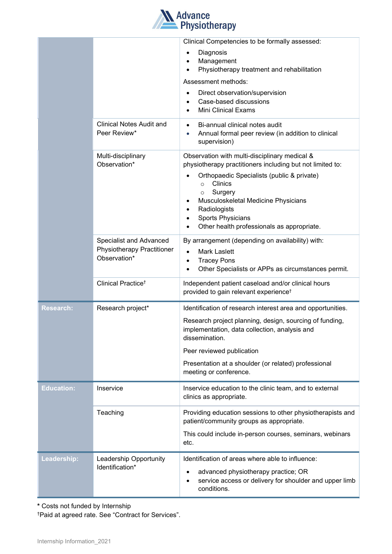

|                   |                                    | Clinical Competencies to be formally assessed:                                                                                 |
|-------------------|------------------------------------|--------------------------------------------------------------------------------------------------------------------------------|
|                   |                                    | Diagnosis<br>$\bullet$                                                                                                         |
|                   |                                    | Management<br>$\bullet$<br>Physiotherapy treatment and rehabilitation<br>$\bullet$                                             |
|                   |                                    | Assessment methods:                                                                                                            |
|                   |                                    | Direct observation/supervision<br>$\bullet$                                                                                    |
|                   |                                    | Case-based discussions<br>$\bullet$                                                                                            |
|                   |                                    | <b>Mini Clinical Exams</b><br>$\bullet$                                                                                        |
|                   | <b>Clinical Notes Audit and</b>    | Bi-annual clinical notes audit<br>$\bullet$                                                                                    |
|                   | Peer Review*                       | Annual formal peer review (in addition to clinical<br>supervision)                                                             |
|                   | Multi-disciplinary<br>Observation* | Observation with multi-disciplinary medical &<br>physiotherapy practitioners including but not limited to:                     |
|                   |                                    | Orthopaedic Specialists (public & private)<br>Clinics<br>$\circ$                                                               |
|                   |                                    | Surgery<br>$\circ$<br>Musculoskeletal Medicine Physicians                                                                      |
|                   |                                    | Radiologists<br>$\bullet$                                                                                                      |
|                   |                                    | <b>Sports Physicians</b><br>$\bullet$<br>Other health professionals as appropriate.<br>$\bullet$                               |
|                   | Specialist and Advanced            | By arrangement (depending on availability) with:                                                                               |
|                   | Physiotherapy Practitioner         | <b>Mark Laslett</b><br>$\bullet$                                                                                               |
|                   | Observation*                       | <b>Tracey Pons</b><br>$\bullet$                                                                                                |
|                   |                                    | Other Specialists or APPs as circumstances permit.                                                                             |
|                   | Clinical Practice <sup>t</sup>     | Independent patient caseload and/or clinical hours<br>provided to gain relevant experience <sup>t</sup>                        |
| <b>Research:</b>  | Research project*                  | Identification of research interest area and opportunities.                                                                    |
|                   |                                    | Research project planning, design, sourcing of funding,<br>implementation, data collection, analysis and<br>dissemination.     |
|                   |                                    | Peer reviewed publication                                                                                                      |
|                   |                                    | Presentation at a shoulder (or related) professional<br>meeting or conference.                                                 |
| <b>Education:</b> | Inservice                          | Inservice education to the clinic team, and to external<br>clinics as appropriate.                                             |
|                   | Teaching                           | Providing education sessions to other physiotherapists and<br>patient/community groups as appropriate.                         |
|                   |                                    | This could include in-person courses, seminars, webinars<br>etc.                                                               |
| Leadership:       | Leadership Opportunity             | Identification of areas where able to influence:                                                                               |
|                   | Identification*                    | advanced physiotherapy practice; OR<br>٠<br>service access or delivery for shoulder and upper limb<br>$\bullet$<br>conditions. |

\* Costs not funded by Internship

†Paid at agreed rate. See "Contract for Services".